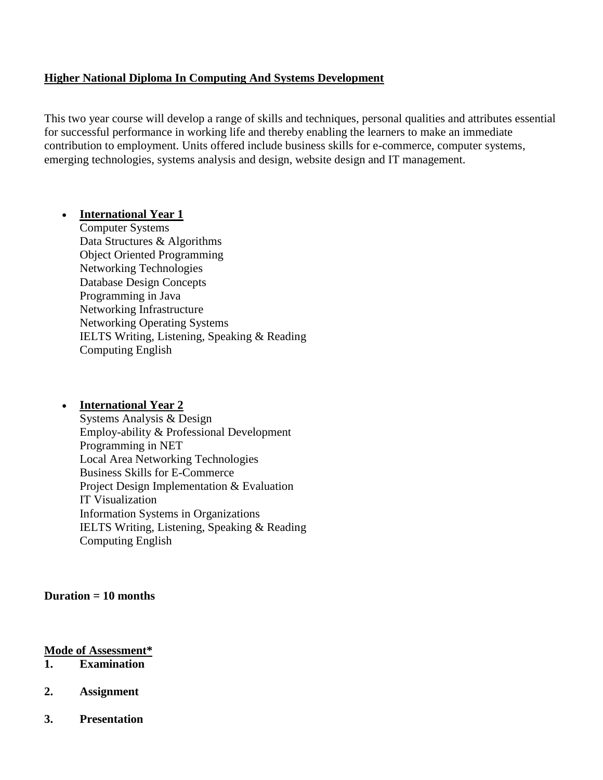## **Higher National Diploma In Computing And Systems Development**

This two year course will develop a range of skills and techniques, personal qualities and attributes essential for successful performance in working life and thereby enabling the learners to make an immediate contribution to employment. Units offered include business skills for e-commerce, computer systems, emerging technologies, systems analysis and design, website design and IT management.

### **International Year 1**

Computer Systems Data Structures & Algorithms Object Oriented Programming Networking Technologies Database Design Concepts Programming in Java Networking Infrastructure Networking Operating Systems IELTS Writing, Listening, Speaking & Reading Computing English

#### **International Year 2**

Systems Analysis & Design Employ-ability & Professional Development Programming in NET Local Area Networking Technologies Business Skills for E-Commerce Project Design Implementation & Evaluation IT Visualization Information Systems in Organizations IELTS Writing, Listening, Speaking & Reading Computing English

### **Duration = 10 months**

#### **Mode of Assessment\***

- **1. Examination**
- **2. Assignment**
- **3. Presentation**